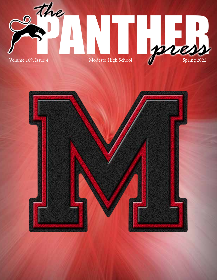

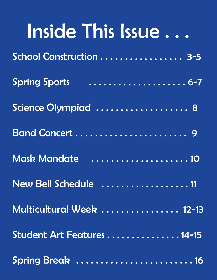| Inside This Issue          |
|----------------------------|
| School Construction  3-5   |
| <b>Spring Sports</b>       |
| Science Olympiad  8        |
| Band Concert  9            |
|                            |
| New Bell Schedule 11       |
| Multicultural Week  12-13  |
| Student Art Features 14-15 |
| Spring Break  16           |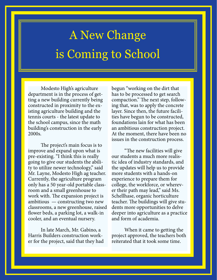#### A New Change is Coming to School

Modesto High's agriculture department is in the process of getting a new building currently being constructed in proximity to the existing agriculture building and the tennis courts - the latest update to the school campus, since the math building's construction in the early 2000s.

The project's main focus is to improve and expand upon what is pre-existing. "I think this is really going to give our students the ability to utilize newer technology," said Mr. Layne, Modesto High ag teacher. Currently, the agriculture program only has a 50 year-old portable classroom and a small greenhouse to work with. The expansion project is ambitious — constructing two new classrooms, a new greenhouse, raised flower beds, a parking lot, a walk-in cooler, and an eventual nursery.

In late March, Mr. Gabino, a Harris Builders construction worker for the project, said that they had begun "working on the dirt that has to be processed to get search compaction." The next step, following that, was to apply the concrete layer. Since then, the future facilities have begun to be constructed, foundations lain for what has been an ambitious construction project. At the moment, there have been no issues in the construction process.

"The new facilities will give our students a much more realistic idea of industry standards, and the updates will help us to provide more students with a hands-on experience to prepare them for college, the workforce, or wherever their path may lead," said Ms. Schellhase, organic horticulture teacher. The buildings will give students more opportunities to delve deeper into agriculture as a practice and form of academia.

When it came to getting the project approved, the teachers both reiterated that it took some time.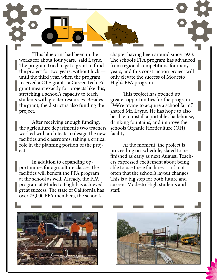"This blueprint had been in the works for about four years," said Layne. The program tried to get a grant to fund the project for two years, without luck until the third year, when the program received a CTE grant - a Career Tech-Ed grant meant exactly for projects like this, stretching a school's capacity to teach students with greater resources. Besides the grant, the district is also funding the project.

After receiving enough funding, the agriculture department's two teachers worked with architects to design the new facilities and classrooms, taking a critical role in the planning portion of the project.

In addition to expanding opportunities for agriculture classes, the facilities will benefit the FFA program at the school as well. Already, the FFA program at Modesto High has achieved great success. The state of California has over 75,000 FFA members, the school's

chapter having been around since 1923. The school's FFA program has advanced from regional competitions for many years, and this construction project will only elevate the success of Modesto High's FFA program.

This project has opened up greater opportunities for the program. "We're trying to acquire a school farm," shared Mr. Layne. He has hope to also be able to install a portable shadehouse, drinking fountains, and improve the schools Organic Horticulture (OH) facility.

At the moment, the project is proceeding on-schedule, slated to be finished as early as next August. Teachers expressed excitement about being able to use these facilities — it's not often that the school's layout changes. This is a big step for both future and current Modesto High students and staff.



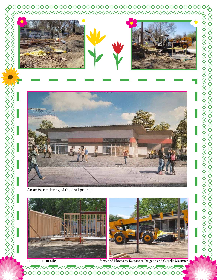





An artist rendering of the final project



construction site

Story and Photos by Kassandra Delgado and Gieselle Martinez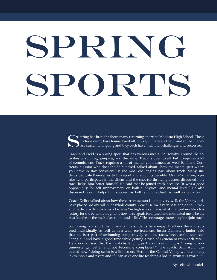# SPRING Sports

Fing has brought about many returning sports to Modesto High School. These<br>include swim, boys tennis, baseball, boys golf, track and field, and softball. They<br>are currently ongoing and they each have their own challenges a include swim, boys tennis, baseball, boys golf, track and field, and softball. They are currently ongoing and they each have their own challenges and successes.

Track and Field is a spring sport that has various meets that revolve around the activities of running, jumping, and throwing. Track is open to all, but it requires a lot of commitment. Track requires a lot of mental commitment as well. Emiliano Contreras, a junior who does the 32 hundred, talked about "how the mental part where you have to stay consistent" is the most challenging part about track. Many students dedicate themselves to this sport and enjoy its benefits. Montaña Barron, a junior who participates in the discus and the shot for throwing events, discussed how track helps him better himself. He said that he joined track because "it was a good opportunity for self improvement on both a physical and mental level." He also discussed how it helps him succeed as both an individual, as well as on a team.

Coach Delira talked about how the current season is going very well, the Varsity girls have placed 3rd overall in the whole county. Coach Delira is very passionate about track and he decided to coach track because "in high school it was what changed my life's trajectory for the better. It taught me how to set goals for myself and motivated me to be the best I can be on the track, classroom, and in life." He encourages more people to join track.

Swimming is a sport that many of the students here enjoy. It allows them to succeed individually as well as in a team environment. Justin Dumars, a junior, said that the best part of swimming competitively was the races, because the team can "hang out and have a good time while getting a rush of excitement from each race." He also discussed that the most challenging part about swimming is "trying to continuously get better and not becoming complacent." The coach, Sam Abid, discussed how "doing swim is a life lesson. Here in the Central Valley we have many lakes, pools and rivers and if I can save one life teaching a kid to swim it is worth it."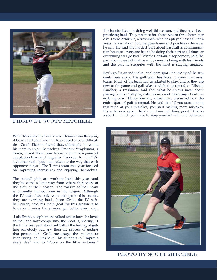

PHOTO BY SCOTT MITCHELL

While Modesto High does have a tennis team this year, it lacks a full team and this has caused a lot of difficulties. Coach Pierson shared that, ultimately, he wants his team to enjoy themselves. Pranauv Vijaykumar, a junior, talked about how tennis is more of a game of adaptation than anything else. "In order to win," Vijaykumar said, "you must adapt to the way that each opponent plays." The Tennis team this year focused on improving themselves and enjoying themselves.

The softball girls are working hard this year, and they've come a long way from where they were at the start of their season. The varsity softball team is currently number one in the league. Although the JV team has only won one game this season, they are working hard. Jason Groll, the JV softball coach, said his main goal for this season is to focus on having the players get better every day.

 Lola Evans, a sophomore, talked about how she loves softball and how competitive the sport is, sharing, "I think the best part about softball is the feeling of getting somebody out, and then the process of getting that person out." Groll encourages the students to keep trying: he likes to tell his students to "Improve every day" and to "Focus on the little victories."

The baseball team is doing well this season, and they have been practicing hard. They practice for about two to three hours per day. Drew Arbuckle, a freshman, who has played baseball for 4 years, talked about how he goes home and practices whenever he can. He said the hardest part about baseball is communication because "everyone has to be doing their part at all times or everything will go bad." Vinnie Cordoni, a sophomore, said the part about baseball that he enjoys most is being with his friends and the part he struggles with the most is staying engaged.

Boy's golf is an individual and team sport that many of the students here enjoy. The golf team has fewer players than most teams. Much of the team has just started to play, and so they are new to the game and golf takes a while to get good at. Dilshan Pandher, a freshman, said that what he enjoys most about playing golf is "playing with friends and forgetting about everything else." Henry Kinzier, a freshman, discussed how the entire sport of golf is mental. He said that "if you start getting frustrated at your mistakes, you start making more mistakes. If you become upset, there's no chance of doing good." Golf is a sport in which you have to keep yourself calm and collected.



PHOTO BY SCOTT MITCHELL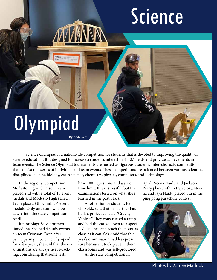## Science

## **Olympiad**

Bridges<br>Div C

By Zada Sam

Science Olympiad is a nationwide competition for students that is devoted to improving the quality of science education. It is designed to increase a student's interest in STEM fields and provide achievements in team events. The Science Olympiad tournaments are hosted as rigorous academic interscholastic competitions that consist of a series of individual and team events. These competitions are balanced between various scientific disciplines, such as, biology, earth science, chemistry, physics, computers, and technology.

In the regional competition, Modesto High's Crimson Team placed 2nd with a total of 15 event medals and Modesto High's Black Team placed 8th winning 6 event medals. Only one team will be taken into the state competition in April.

Junior Maya Salvador mentioned that she had 4 study events on team Crimson. Even after participating in Science Olympiad for a few years, she said that the examinations are always nerve-racking; considering that some tests

have 100+ questions and a strict time limit. It was stressful, but the examinations tested on what she's learned in the past years.

Another junior student, Kelvin Sokk, said that his partner had built a project called a "Gravity Vehicle." They constructed a ramp and had the car go down to a specified distance and reach the point as close as it can. Sokk said that this year's examination had less pressure because it took place in their classrooms and was self-proctored.

At the state competition in

April, Neena Naidu and Jackson Perry placed 4th in trajectory. Neena and Jaya Naidu placed 6th in the ping pong parachute contest.



Photos by Aimee Matlock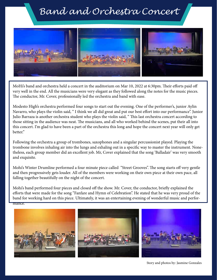#### *Band and Orchestra Concert*



MoHi's band and orchestra held a concert in the auditorium on Mar 10, 2022 at 6:30pm. Their efforts paid off very well in the end. All the musicians were very elegant as they followed along the notes for the music pieces. The conductor, Mr. Cover, professionally led the orchestra and band with ease.

Modesto High's orchestra performed four songs to start out the evening. One of the performer's, junior Aylin Navarro, who plays the violin said, " I think we all did great and put our best effort into our performance". Junior Julio Barraza is another orchestra student who plays the violin said, " This last orchestra concert according to those sitting in the audience was neat. The musicians, and all who worked behind the scenes, put their all into this concert. I'm glad to have been a part of the orchestra this long and hope the concert next year will only get better."

Following the orchestra a group of trombones, saxophones and a singular percussionist played. Playing the trombone involves inhaling air into the lungs and exhaling out in a specific way to master the instrument. Nonetheless, each group member did an excellent job. Mr, Cover explained that the song 'Balladair' was very smooth and exquisite.

Mohi's Winter Drumline performed a four minute piece called "Street Grooves". The song starts off very gentle and then progressively gets louder. All of the members were working on their own piece at their own pace, all falling together beautifully on the night of the concert.

Mohi's band performed four pieces and closed off the show. Mr. Cover, the conductor, briefly explained the efforts that were made for the song "Fanfare and Hymn of Celebration". He stated that he was very proud of the band for working hard on this piece. Ultimately, it was an entertaining evening of wonderful music and performance.



Story and photos by: Jasmine Gonzales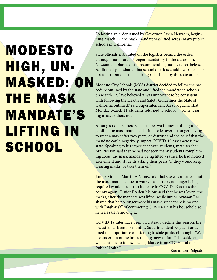#### MODESTO HIGH, UN-MASKED: ON THE MASK MANDATE'S LIFTING IN **SCHOOL**

Following an order issued by Governor Gavin Newsom, beginning March 12, the mask mandate was lifted across many public schools in California.

State officials elaborated on the logistics behind the order: although masks are no longer mandatory in the classroom, Newsom emphasized still recommending masks, nevertheless. Additionally, he shared that school districts could override — or opt to postpone — the masking rules lifted by the state order.

Modesto City Schools (MCS) district decided to follow the procedure outlined by the state and lifted the mandate in schools on March 12. "We believed it was important to be consistent with following the Health and Safety Guidelines the State of California outlined," said Superintendent Sara Noguchi. That Monday, March 14, students returned to school — some wearing masks, others not.

Among students, there seems to be two frames of thought regarding the mask mandate's lifting: relief over no longer having to wear a mask after two years, or distrust and the belief that the mandate could negatively impact COVID-19 cases across the state. Speaking to his experience with students, math teacher Mr. Pierson said that he had not seen many students complaining about the mask mandate being lifted - rather, he had noticed excitement and students asking their peers "if they would keep wearing masks, or take them off."

Junior Ximena Martinez-Nunez said that she was unsure about the mask mandate due to worry that "masks no longer being required would lead to an increase in COVID-19 across the county again." Junior Braden Meloni said that he was "over" the masks, after the mandate was lifted; while junior Armaan Rai shared that he no longer wore his mask, since there is no one with "high-risk" of contracting COVID-19 in his household so he feels safe removing it.

COVID-19 rates have been on a steady decline this season, the lowest it has been for months. Superintendent Noguchi underlined the importance of listening to state protocol though: "We are uncertain of the impact of any new variant," she said, "and will continue to follow local guidance from CDPH and our Public Health."

Kassandra Delgado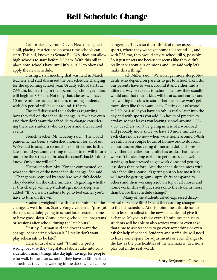California's governor, Gavin Newsom, signed a bill, placing restrictions on what time schools can start. This bill, known as Senate Bill 328, does not allow high schools to start before 8:30 am. With this bill in place now, schools have until July 1, 2022 to obey and apply the new schedule.

During a staff meeting that was held in March, teachers and staff discussed the bell schedule changing for the upcoming school year. Usually school starts at 7:55 am, but starting in the upcoming school year, class will begin at 8:30 am. Not only that, classes will have 10 more minutes added to them, meaning students with 8th period will be out around 4:45 pm.

The staff discussed their feelings regarding how they feel on the schedule change. A few have even said they don't want the schedule to change considering there are students who do sports and after school events.

French teacher, Mr. Hijaouy said, " The Covid pandemic has been a watershed moment for all of us. We've had to adapt to so much in so little time. Is this latest round yet another thing to adapt to or will it turn out to be the straw that breaks the camel's back? I don't know. Only time will tell."

History teacher, Mrs. Konner commented on what she thinks of the new schedule change. She said, " Change was required by state law; we didn't decide. They decided on the extra minutes." Regarding whether this change will help students get more sleep, she added, "If you want students to go to bed earlier you'd have to turn off the wifi."

Students weighed in with their opinions on the change as well. Junior, Scarly Vongvivath said, "pros [of the new schedule]: going to school later -extends time to have good sleep. Cons: leaving school late: programs or sessions after school during the late hours."

Destiny Guzman said she doesn't want the change, considering rehearsals," I really don't want play rehearsals to be late."

Hernan Escalante said, "I think it's pretty wrong, because they [legislators] didn't take into consideration many things like daylight savings for people who walk home after school if they have an 8th period; sometimes they'll be walking in the dark, which can be

dangerous. They also didn't think of other aspects like sports, where they won't get home till around 11, and with ESS too, they would stay at school till 9, possibly. So it just upsets me because it seems like they didn't really care about our opinions and just said welp let's make this a thing."

Jack Miller said, "We won't get more sleep. Students who depend on parents to get to school, like I do, our parents have to work around it and either find a different way or take us to school like how they usually would and that means kids will be at school earlier and just waiting for class to start. That means we won't get more sleep like they want us to. Getting out of school at 3:30, or 4:40 if you have an 8th, is really later into the day and with sports you add 2-3 hours of practice everyday, so that leaves you leaving school around 5:30- 7:30. Teachers won't be giving us less of a workload and probably more since we have 10 more minutes in each class now, so now when we're home around 6-8ish we still have a couple hours of homework to do from all our classes plus eating dinner and doing chores or any other activities our family has us do. That means we won't be sleeping earlier to get more sleep, we'd be staying up late stressed to get work done and getting less sleep than before. And the schedule can mess with job scheduling, cause it's getting out so late most kids will now be getting 6pm-10pm shifts compared to others and then working a job on top of all chores and homework. This will put stress onto the students more than before the schedule change."

Many of the students asked expressed disapproval of Senate Bill 328 and the resulting changes to the bell schedule. At this point, the attitude has to be to learn to adjust to the new schedule and give it a chance. Maybe in those extra 10 minutes per class, students will be able to also review work or even take that time to ask teachers to go over something or even ask for help if needed. Students and staff alike will need to leave some space for adjustments or even changes to the law as the practicalities of the lawmakers' decisions play out in the real world.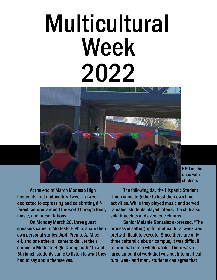# Multicultural Week 2022



At the end of March Modesto High hosted its first multicultural week - a week dedicated to expressing and celebrating different cultures around the world through food, music, and presentations.

On Monday March 28, three guest speakers came to Modesto High to share their own personal stories. April Premo, AJ Mitchell, and one other all came to deliver their stories to Modesto High. During both 4th and 5th lunch students came to listen to what they had to say about themselves.

The following day the Hispanic Student Union came together to host their own lunch activities. While they played music and served tamales, students played loteria. The club also sold bracelets and even croc charms.

Senior Melanie Gonzalez expressed, "The process in setting up for multicultural week was pretty difficult to execute. Since there are only three cultural clubs on campus, it was difficult to turn that into a whole week." There was a large amount of work that was put into multicultural week and many students can agree that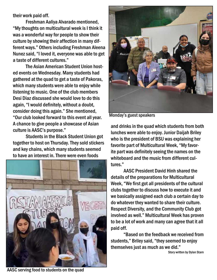their work paid off.

Freshman Aaliya Alvarado mentioned, "My thoughts on multicultural week is I think it was a wonderful way for people to show their culture by showing their affection in many different ways." Others including Freshman Aleena Nunez said, "I loved it, everyone was able to get a taste of different cultures."

The Asian American Student Union hosted events on Wednesday. Many students had gathered at the quad to get a taste of Pakoras, which many students were able to enjoy while listening to music. One of the club members Desi Diaz discussed she would love to do this again, "I would definitely, without a doubt, consider doing this again." She mentioned, "Our club looked forward to this event all year. A chance to give people a showcase of Asian culture is AASC's purpose."

Students in the Black Student Union got together to host on Thursday. They sold stickers and key chains, which many students seemed to have an interest in. There were even foods





Monday's guest speakers

and drinks in the quad which students from both lunches were able to enjoy. Junior Daijah Briley who is the president of BSU was explaining her favorite part of Multicultural Week, "My favorite part was definitely seeing the names on the whiteboard and the music from different cultures."

AASC President David Hinh shared the details of the preparations for Multicultural Week, "We first got all presidents of the cultural clubs together to discuss how to execute it and we basically assigned each club a certain day to do whatever they wanted to share their culture. Respect Diversity, and the Community Club got involved as well." Multicultural Week has proven to be a lot of work and many can agree that it all paid off.

"Based on the feedback we received from students," Briley said, "they seemed to enjoy themselves just as much as we did."

Story written by Dylan Starn

AASC serving food to students on the quad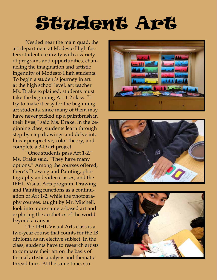## Student Art

Nestled near the main quad, the art department at Modesto High fosters student creativity with a variety of programs and opportunities, channeling the imagination and artistic ingenuity of Modesto High students. To begin a student's journey in art at the high school level, art teacher Ms. Drake explained, students must take the beginning Art 1-2 class. "I try to make it easy for the beginning art students, since many of them may have never picked up a paintbrush in their lives," said Ms. Drake. In the beginning class, students learn through step-by-step drawings and delve into linear perspective, color theory, and complete a 3-D art project.

"Once students pass Art 1-2," Ms. Drake said, "They have many options." Among the courses offered, there's Drawing and Painting, photography and video classes, and the IBHL Visual Arts program. Drawing and Painting functions as a continuation of Art 1-2, while the photography courses, taught by Mr. Mitchell, look into more camera-based art and exploring the aesthetics of the world beyond a canvas.

The IBHL Visual Arts class is a two-year course that counts for the IB diploma as an elective subject. In the class, students have to research artists to compare their art on the basis of formal artistic analysis and thematic thread lines. At the same time, stu-





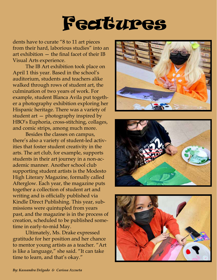### Features

dents have to curate "8 to 11 art pieces from their hard, laborious studies" into an art exhibition — the final facet of their IB Visual Arts experience.

The IB Art exhibition took place on April 1 this year. Based in the school's auditorium, students and teachers alike walked through rows of student art, the culmination of two years of work. For example, student Blanca Avila put together a photography exhibition exploring her Hispanic heritage. There was a variety of student art — photography inspired by HBO's Euphoria, cross-stitching, collages, and comic strips, among much more.

Besides the classes on campus, there's also a variety of student-led activities that foster student creativity in the arts. The art club, for example, supports students in their art journey in a non-academic manner. Another school club supporting student artists is the Modesto High Literary Magazine, formally called Afterglow. Each year, the magazine puts together a collection of student art and writing and is officially published via Kindle Direct Publishing. This year, submissions were quintupled from years past, and the magazine is in the process of creation, scheduled to be published sometime in early-to-mid May.

Ultimately, Ms. Drake expressed gratitude for her position and her chance to mentor young artists as a teacher. "Art is like a language," she said. "It can take time to learn, and that's okay."